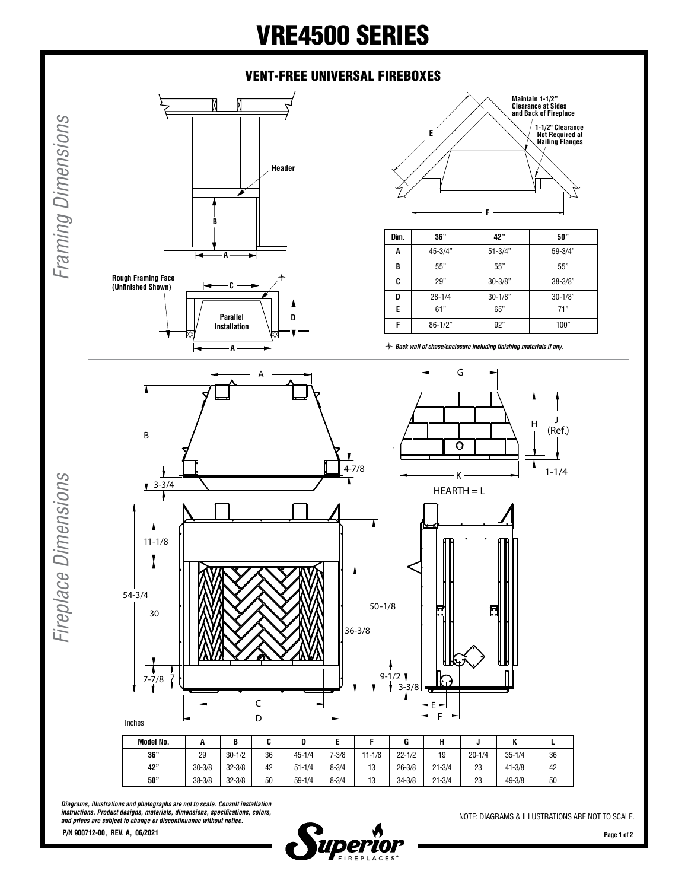## VRE4500 SERIES

## VENT-FREE UNIVERSAL FIREBOXES



**Rough Framing Face**

*Framing Dimensions*

Framing Dimensions



 $\ast$ 



| Dim. | 36"         | 42"         | 50"         |
|------|-------------|-------------|-------------|
| A    | 45-3/4"     | $51 - 3/4"$ | 59-3/4"     |
| B    | 55"         | 55"         | 55"         |
| C    | 29"         | $30 - 3/8"$ | $38 - 3/8"$ |
| D    | $28 - 1/4$  | $30 - 1/8"$ | $30 - 1/8"$ |
| E    | 61"         | 65"         | 71"         |
| F    | $86 - 1/2"$ | 92"         | 100"        |

l *Back wall of chase/enclosure including finishing materials if any.*



| Model No. | л          | D<br>D     |    |            |           |            |            |            |            | n          |    |
|-----------|------------|------------|----|------------|-----------|------------|------------|------------|------------|------------|----|
| 36"       | 29         | $30 - 1/2$ | 36 | $45 - 1/4$ | $7 - 3/8$ | $11 - 1/8$ | $22 - 1/2$ | 19         | $20 - 1/4$ | $35 - 1/4$ | 36 |
| 42"       | $30 - 3/8$ | $32 - 3/8$ | 42 | $51 - 1/4$ | $8 - 3/4$ | 13         | $26 - 3/8$ | $21 - 3/4$ | 23         | $41 - 3/8$ | 42 |
| 50"       | $38 - 3/8$ | $32 - 3/8$ | 50 | $59 - 1/4$ | $8 - 3/4$ | 13         | $34 - 3/8$ | $21 - 3/4$ | 23         | 49-3/8     | 50 |

*Diagrams, illustrations and photographs are not to scale. Consult installation instructions. Product designs, materials, dimensions, specifications, colors, and prices are subject to change or discontinuance without notice.*



NOTE: DIAGRAMS & ILLUSTRATIONS ARE NOT TO SCALE.